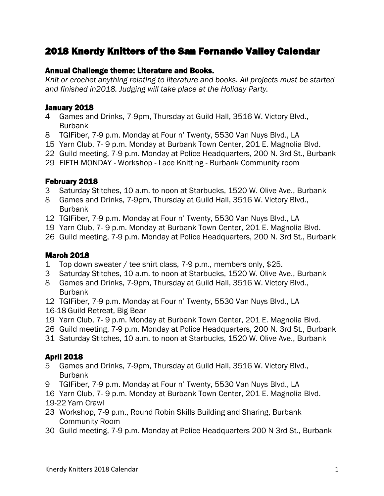# 2018 Knerdy Knitters of the San Fernando Valley Calendar

#### Annual Challenge theme: Literature and Books.

*Knit or crochet anything relating to literature and books. All projects must be started and finished in2018. Judging will take place at the Holiday Party.*

#### January 2018

- 4 Games and Drinks, 7-9pm, Thursday at Guild Hall, 3516 W. Victory Blvd., Burbank
- 8 TGIFiber, 7-9 p.m. Monday at Four n' Twenty, 5530 Van Nuys Blvd., LA
- 15 Yarn Club, 7- 9 p.m. Monday at Burbank Town Center, 201 E. Magnolia Blvd.
- 22 Guild meeting, 7-9 p.m. Monday at Police Headquarters, 200 N. 3rd St., Burbank
- 29 FIFTH MONDAY Workshop Lace Knitting Burbank Community room

#### February 2018

- 3 Saturday Stitches, 10 a.m. to noon at Starbucks, 1520 W. Olive Ave., Burbank
- 8 Games and Drinks, 7-9pm, Thursday at Guild Hall, 3516 W. Victory Blvd., Burbank
- 12 TGIFiber, 7-9 p.m. Monday at Four n' Twenty, 5530 Van Nuys Blvd., LA
- 19 Yarn Club, 7- 9 p.m. Monday at Burbank Town Center, 201 E. Magnolia Blvd.
- 26 Guild meeting, 7-9 p.m. Monday at Police Headquarters, 200 N. 3rd St., Burbank

#### March 2018

- 1 Top down sweater / tee shirt class, 7-9 p.m., members only, \$25.
- 3 Saturday Stitches, 10 a.m. to noon at Starbucks, 1520 W. Olive Ave., Burbank
- 8 Games and Drinks, 7-9pm, Thursday at Guild Hall, 3516 W. Victory Blvd., Burbank
- 12 TGIFiber, 7-9 p.m. Monday at Four n' Twenty, 5530 Van Nuys Blvd., LA
- 16-18 Guild Retreat, Big Bear
- 19 Yarn Club, 7- 9 p.m. Monday at Burbank Town Center, 201 E. Magnolia Blvd.
- 26 Guild meeting, 7-9 p.m. Monday at Police Headquarters, 200 N. 3rd St., Burbank
- 31 Saturday Stitches, 10 a.m. to noon at Starbucks, 1520 W. Olive Ave., Burbank

#### April 2018

- 5 Games and Drinks, 7-9pm, Thursday at Guild Hall, 3516 W. Victory Blvd., Burbank
- 9 TGIFiber, 7-9 p.m. Monday at Four n' Twenty, 5530 Van Nuys Blvd., LA
- 16 Yarn Club, 7- 9 p.m. Monday at Burbank Town Center, 201 E. Magnolia Blvd.
- 19-22 Yarn Crawl
- 23 Workshop, 7-9 p.m., Round Robin Skills Building and Sharing, Burbank Community Room
- 30 Guild meeting, 7-9 p.m. Monday at Police Headquarters 200 N 3rd St., Burbank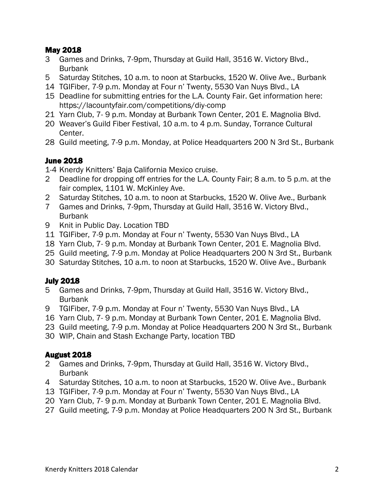#### May 2018

- Games and Drinks, 7-9pm, Thursday at Guild Hall, 3516 W. Victory Blvd., Burbank
- Saturday Stitches, 10 a.m. to noon at Starbucks, 1520 W. Olive Ave., Burbank
- TGIFiber, 7-9 p.m. Monday at Four n' Twenty, 5530 Van Nuys Blvd., LA
- Deadline for submitting entries for the L.A. County Fair. Get information here: https://lacountyfair.com/competitions/diy-comp
- Yarn Club, 7- 9 p.m. Monday at Burbank Town Center, 201 E. Magnolia Blvd.
- Weaver's Guild Fiber Festival, 10 a.m. to 4 p.m. Sunday, Torrance Cultural Center.
- Guild meeting, 7-9 p.m. Monday, at Police Headquarters 200 N 3rd St., Burbank

#### June 2018

1-4 Knerdy Knitters' Baja California Mexico cruise.

- Deadline for dropping off entries for the L.A. County Fair; 8 a.m. to 5 p.m. at the fair complex, 1101 W. McKinley Ave.
- Saturday Stitches, 10 a.m. to noon at Starbucks, 1520 W. Olive Ave., Burbank
- Games and Drinks, 7-9pm, Thursday at Guild Hall, 3516 W. Victory Blvd., Burbank
- Knit in Public Day. Location TBD
- TGIFiber, 7-9 p.m. Monday at Four n' Twenty, 5530 Van Nuys Blvd., LA
- Yarn Club, 7- 9 p.m. Monday at Burbank Town Center, 201 E. Magnolia Blvd.
- Guild meeting, 7-9 p.m. Monday at Police Headquarters 200 N 3rd St., Burbank
- Saturday Stitches, 10 a.m. to noon at Starbucks, 1520 W. Olive Ave., Burbank

## July 2018

- Games and Drinks, 7-9pm, Thursday at Guild Hall, 3516 W. Victory Blvd., **Burbank**
- TGIFiber, 7-9 p.m. Monday at Four n' Twenty, 5530 Van Nuys Blvd., LA
- Yarn Club, 7- 9 p.m. Monday at Burbank Town Center, 201 E. Magnolia Blvd.
- Guild meeting, 7-9 p.m. Monday at Police Headquarters 200 N 3rd St., Burbank
- WIP, Chain and Stash Exchange Party, location TBD

#### August 2018

- Games and Drinks, 7-9pm, Thursday at Guild Hall, 3516 W. Victory Blvd., Burbank
- Saturday Stitches, 10 a.m. to noon at Starbucks, 1520 W. Olive Ave., Burbank
- TGIFiber, 7-9 p.m. Monday at Four n' Twenty, 5530 Van Nuys Blvd., LA
- Yarn Club, 7- 9 p.m. Monday at Burbank Town Center, 201 E. Magnolia Blvd.
- Guild meeting, 7-9 p.m. Monday at Police Headquarters 200 N 3rd St., Burbank